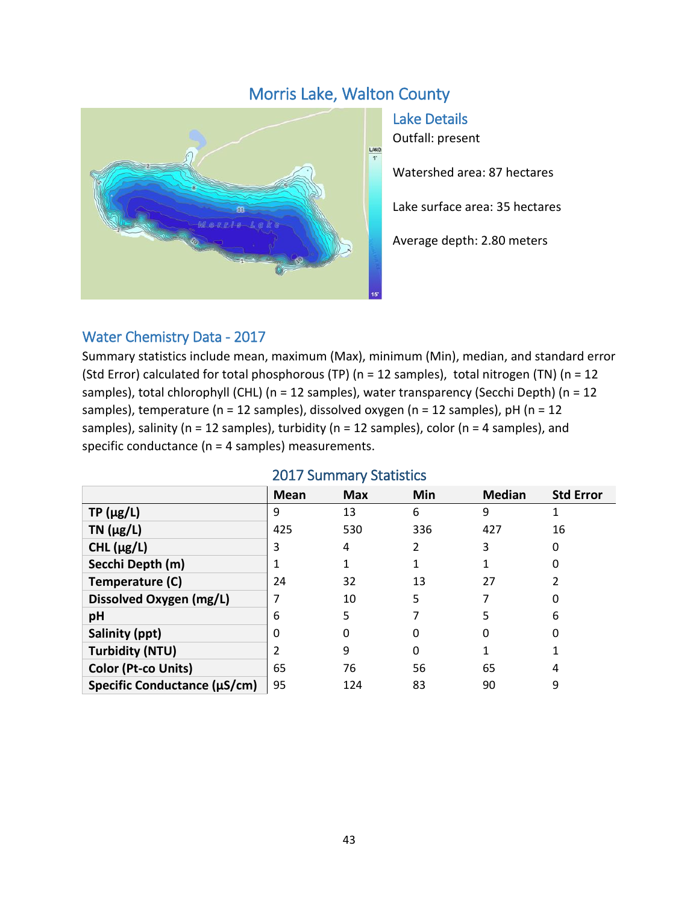# Morris Lake, Walton County



Lake Details Outfall: present

Watershed area: 87 hectares

Lake surface area: 35 hectares

Average depth: 2.80 meters

### Water Chemistry Data - 2017

Summary statistics include mean, maximum (Max), minimum (Min), median, and standard error (Std Error) calculated for total phosphorous (TP) (n = 12 samples), total nitrogen (TN) (n = 12 samples), total chlorophyll (CHL) (n = 12 samples), water transparency (Secchi Depth) (n = 12 samples), temperature (n = 12 samples), dissolved oxygen (n = 12 samples), pH (n = 12 samples), salinity (n = 12 samples), turbidity (n = 12 samples), color (n = 4 samples), and specific conductance (n = 4 samples) measurements.

|                              | Mean | <b>Max</b> | Min | <b>Median</b> | <b>Std Error</b> |
|------------------------------|------|------------|-----|---------------|------------------|
| $TP(\mu g/L)$                | 9    | 13         | 6   | 9             |                  |
| TN $(\mu g/L)$               | 425  | 530        | 336 | 427           | 16               |
| CHL $(\mu g/L)$              | 3    | 4          | 2   | 3             | 0                |
| Secchi Depth (m)             |      |            |     |               | 0                |
| Temperature (C)              | 24   | 32         | 13  | 27            |                  |
| Dissolved Oxygen (mg/L)      |      | 10         | 5   |               |                  |
| pH                           | 6    | 5          |     | 5             | 6                |
| Salinity (ppt)               | 0    | 0          | 0   |               |                  |
| <b>Turbidity (NTU)</b>       | າ    | 9          | 0   |               |                  |
| <b>Color (Pt-co Units)</b>   | 65   | 76         | 56  | 65            | 4                |
| Specific Conductance (µS/cm) | 95   | 124        | 83  | 90            | 9                |

#### 2017 Summary Statistics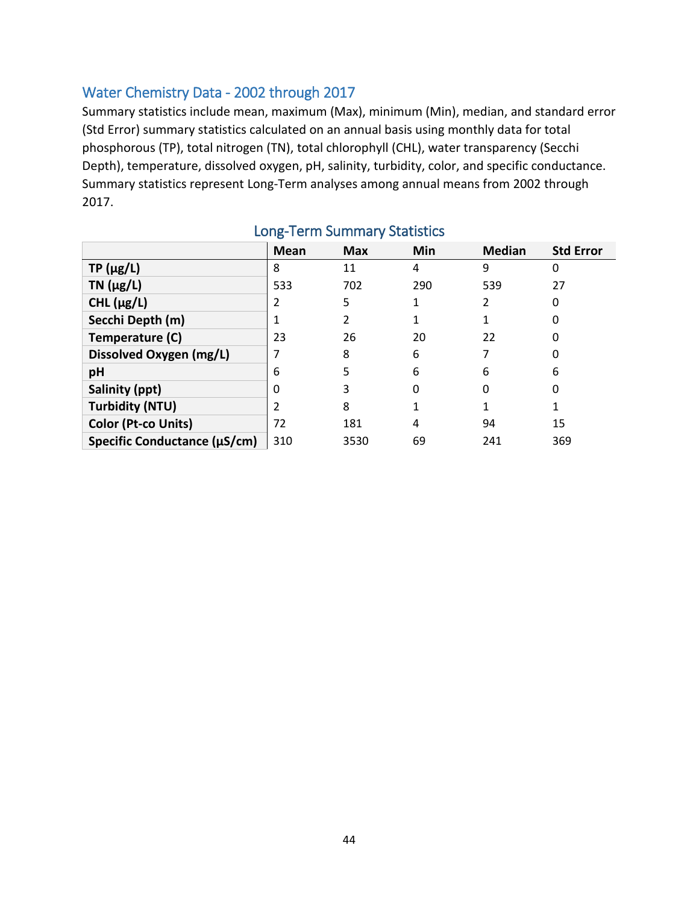### Water Chemistry Data - 2002 through 2017

Summary statistics include mean, maximum (Max), minimum (Min), median, and standard error (Std Error) summary statistics calculated on an annual basis using monthly data for total phosphorous (TP), total nitrogen (TN), total chlorophyll (CHL), water transparency (Secchi Depth), temperature, dissolved oxygen, pH, salinity, turbidity, color, and specific conductance. Summary statistics represent Long-Term analyses among annual means from 2002 through 2017.

|                              | Mean | <b>Max</b> | Min | <b>Median</b> | <b>Std Error</b> |
|------------------------------|------|------------|-----|---------------|------------------|
| $TP(\mu g/L)$                | 8    | 11         | 4   | 9             | 0                |
| $TN$ ( $\mu$ g/L)            | 533  | 702        | 290 | 539           | 27               |
| CHL $(\mu g/L)$              | 2    | 5          |     | 2             | 0                |
| Secchi Depth (m)             |      |            |     |               | 0                |
| Temperature (C)              | 23   | 26         | 20  | 22            | 0                |
| Dissolved Oxygen (mg/L)      |      | 8          | 6   | 7             | 0                |
| pH                           | 6    | 5          | 6   | 6             | 6                |
| Salinity (ppt)               | 0    | 3          | 0   | 0             | 0                |
| <b>Turbidity (NTU)</b>       | 2    | 8          |     |               |                  |
| <b>Color (Pt-co Units)</b>   | 72   | 181        | 4   | 94            | 15               |
| Specific Conductance (µS/cm) | 310  | 3530       | 69  | 241           | 369              |

## Long-Term Summary Statistics